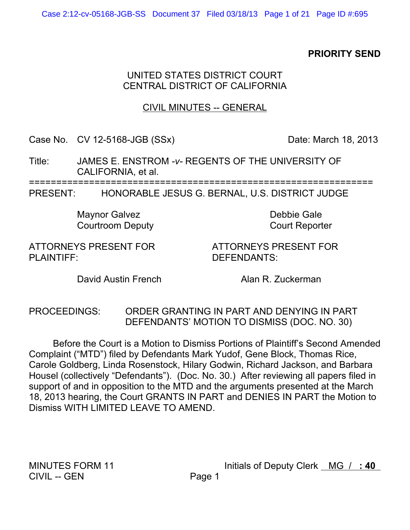## **PRIORITY SEND**

### UNITED STATES DISTRICT COURT CENTRAL DISTRICT OF CALIFORNIA

## **CIVIL MINUTES -- GENERAL**

Case No. CV 12-5168-JGB (SSx)

Date: March 18, 2013

JAMES E. ENSTROM - v- REGENTS OF THE UNIVERSITY OF Title: CALIFORNIA, et al.

**PRESENT:** HONORABLE JESUS G. BERNAL, U.S. DISTRICT JUDGE

> **Maynor Galvez Courtroom Deputy**

Debbie Gale **Court Reporter** 

ATTORNEYS PRESENT FOR PLAINTIFF:

**ATTORNEYS PRESENT FOR** DEFENDANTS:

David Austin French

Alan R. Zuckerman

ORDER GRANTING IN PART AND DENYING IN PART **PROCEEDINGS:** DEFENDANTS' MOTION TO DISMISS (DOC. NO. 30)

Before the Court is a Motion to Dismiss Portions of Plaintiff's Second Amended Complaint ("MTD") filed by Defendants Mark Yudof, Gene Block, Thomas Rice, Carole Goldberg, Linda Rosenstock, Hilary Godwin, Richard Jackson, and Barbara Housel (collectively "Defendants"). (Doc. No. 30.) After reviewing all papers filed in support of and in opposition to the MTD and the arguments presented at the March 18, 2013 hearing, the Court GRANTS IN PART and DENIES IN PART the Motion to Dismiss WITH LIMITED LEAVE TO AMEND.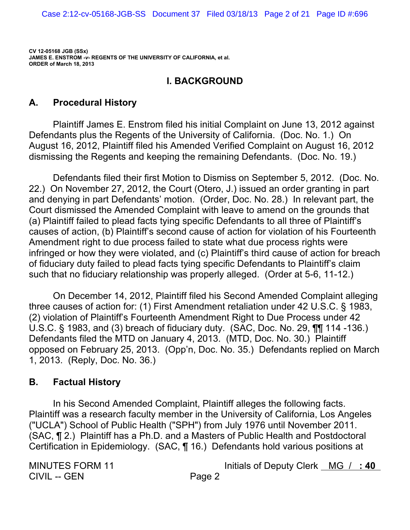### **I. BACKGROUND**

#### **Procedural History** А.

Plaintiff James E. Enstrom filed his initial Complaint on June 13, 2012 against Defendants plus the Regents of the University of California. (Doc. No. 1.) On August 16, 2012, Plaintiff filed his Amended Verified Complaint on August 16, 2012 dismissing the Regents and keeping the remaining Defendants. (Doc. No. 19.)

Defendants filed their first Motion to Dismiss on September 5, 2012. (Doc. No. 22.) On November 27, 2012, the Court (Otero, J.) issued an order granting in part and denying in part Defendants' motion. (Order, Doc. No. 28.) In relevant part, the Court dismissed the Amended Complaint with leave to amend on the grounds that (a) Plaintiff failed to plead facts tying specific Defendants to all three of Plaintiff's causes of action, (b) Plaintiff's second cause of action for violation of his Fourteenth Amendment right to due process failed to state what due process rights were infringed or how they were violated, and (c) Plaintiff's third cause of action for breach of fiduciary duty failed to plead facts tying specific Defendants to Plaintiff's claim such that no fiduciary relationship was properly alleged. (Order at 5-6, 11-12.)

On December 14, 2012, Plaintiff filed his Second Amended Complaint alleging three causes of action for: (1) First Amendment retaliation under 42 U.S.C. § 1983. (2) violation of Plaintiff's Fourteenth Amendment Right to Due Process under 42 U.S.C. § 1983, and (3) breach of fiduciary duty. (SAC, Doc. No. 29, TI 114 -136.) Defendants filed the MTD on January 4, 2013. (MTD, Doc. No. 30.) Plaintiff opposed on February 25, 2013. (Opp'n, Doc. No. 35.) Defendants replied on March 1, 2013. (Reply, Doc. No. 36.)

#### В. **Factual History**

In his Second Amended Complaint, Plaintiff alleges the following facts. Plaintiff was a research faculty member in the University of California, Los Angeles ("UCLA") School of Public Health ("SPH") from July 1976 until November 2011. (SAC, ¶ 2.) Plaintiff has a Ph.D. and a Masters of Public Health and Postdoctoral Certification in Epidemiology. (SAC, ¶ 16.) Defendants hold various positions at

**MINUTES FORM 11 CIVIL -- GEN**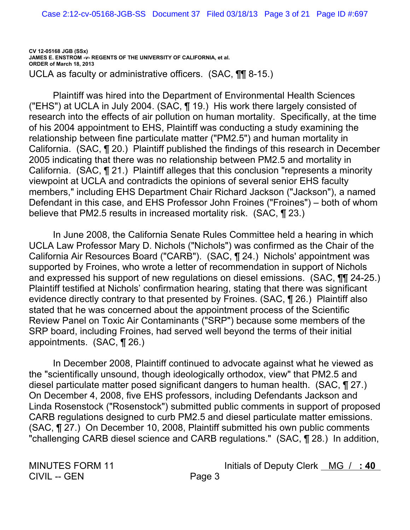**CV 12-05168 JGB (SSx) JAMES E. ENSTROM** *-v-* **REGENTS OF THE UNIVERSITY OF CALIFORNIA, et al. ORDER of March 18, 2013** UCLA as faculty or administrative officers.  $(SAC, \P\P\$ 8-15.)

Plaintiff was hired into the Department of Environmental Health Sciences ("EHS") at UCLA in July 2004. (SAC,  $\P$  19.) His work there largely consisted of research into the effects of air pollution on human mortality. Specifically, at the time of his 2004 appointment to EHS, Plaintiff was conducting a study examining the relationship between fine particulate matter ("PM2.5") and human mortality in California. (SAC, ¶ 20.) Plaintiff published the findings of this research in December 2005 indicating that there was no relationship between PM2.5 and mortality in California. (SAC, 121.) Plaintiff alleges that this conclusion "represents a minority viewpoint at UCLA and contradicts the opinions of several senior EHS faculty members," including EHS Department Chair Richard Jackson ("Jackson"), a named Defendant in this case, and EHS Professor John Froines ("Froines") – both of whom believe that PM2.5 results in increased mortality risk. (SAC,  $\P$  23.)

In June 2008, the California Senate Rules Committee held a hearing in which UCLA Law Professor Mary D. Nichols ("Nichols") was confirmed as the Chair of the California Air Resources Board ("CARB"). (SAC, ¶ 24.) Nichols' appointment was supported by Froines, who wrote a letter of recommendation in support of Nichols and expressed his support of new regulations on diesel emissions. (SAC,  $\P\P$  24-25.) Plaintiff testified at Nichols' confirmation hearing, stating that there was significant evidence directly contrary to that presented by Froines. (SAC, ¶ 26.) Plaintiff also stated that he was concerned about the appointment process of the Scientific Review Panel on Toxic Air Contaminants ("SRP") because some members of the SRP board, including Froines, had served well beyond the terms of their initial appointments.  $(SAC, \P 26.)$ 

In December 2008, Plaintiff continued to advocate against what he viewed as the "scientifically unsound, though ideologically orthodox, view" that PM2.5 and diesel particulate matter posed significant dangers to human health. (SAC,  $\P$  27.) On December 4, 2008, five EHS professors, including Defendants Jackson and Linda Rosenstock ("Rosenstock") submitted public comments in support of proposed CARB regulations designed to curb PM2.5 and diesel particulate matter emissions. (SAC, ¶ 27.) On December 10, 2008, Plaintiff submitted his own public comments "challenging CARB diesel science and CARB regulations." (SAC, 128.) In addition,

CIVIL -- GEN Page 3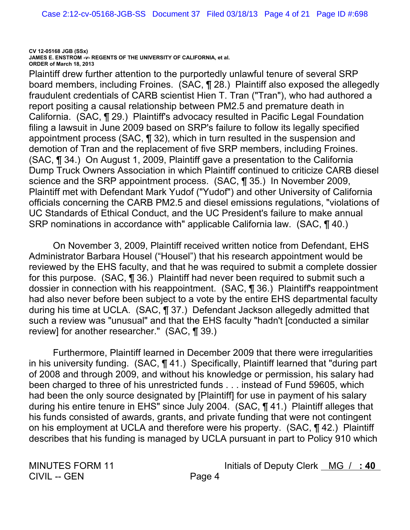Plaintiff drew further attention to the purportedly unlawful tenure of several SRP board members, including Froines. (SAC, ¶ 28.) Plaintiff also exposed the allegedly fraudulent credentials of CARB scientist Hien T. Tran ("Tran"), who had authored a report positing a causal relationship between PM2.5 and premature death in California. (SAC, 129.) Plaintiff's advocacy resulted in Pacific Legal Foundation filing a lawsuit in June 2009 based on SRP's failure to follow its legally specified appointment process (SAC,  $\P$  32), which in turn resulted in the suspension and demotion of Tran and the replacement of five SRP members, including Froines. (SAC, ¶ 34.) On August 1, 2009, Plaintiff gave a presentation to the California Dump Truck Owners Association in which Plaintiff continued to criticize CARB diesel science and the SRP appointment process. (SAC, ¶ 35.) In November 2009, Plaintiff met with Defendant Mark Yudof ("Yudof") and other University of California officials concerning the CARB PM2.5 and diesel emissions regulations, "violations of UC Standards of Ethical Conduct, and the UC President's failure to make annual SRP nominations in accordance with" applicable California law. (SAC, 140.)

On November 3, 2009, Plaintiff received written notice from Defendant, EHS Administrator Barbara Housel ("Housel") that his research appointment would be reviewed by the EHS faculty, and that he was required to submit a complete dossier for this purpose. (SAC, ¶ 36.) Plaintiff had never been required to submit such a dossier in connection with his reappointment. (SAC, 136.) Plaintiff's reappointment had also never before been subject to a vote by the entire EHS departmental faculty during his time at UCLA. (SAC, ¶ 37.) Defendant Jackson allegedly admitted that such a review was "unusual" and that the EHS faculty "hadn't [conducted a similar review] for another researcher." (SAC, ¶ 39.)

Furthermore, Plaintiff learned in December 2009 that there were irregularities in his university funding. (SAC, 141.) Specifically, Plaintiff learned that "during part of 2008 and through 2009, and without his knowledge or permission, his salary had been charged to three of his unrestricted funds . . . instead of Fund 59605, which had been the only source designated by [Plaintiff] for use in payment of his salary during his entire tenure in EHS" since July 2004. (SAC, 141.) Plaintiff alleges that his funds consisted of awards, grants, and private funding that were not contingent on his employment at UCLA and therefore were his property. (SAC, ¶ 42.) Plaintiff describes that his funding is managed by UCLA pursuant in part to Policy 910 which

**MINUTES FORM 11 CIVIL -- GEN**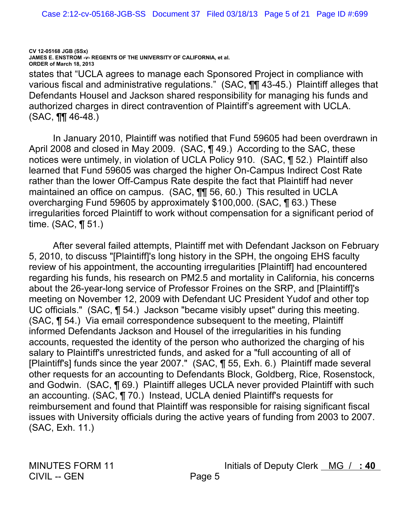states that "UCLA agrees to manage each Sponsored Project in compliance with various fiscal and administrative regulations." (SAC, TT 43-45.) Plaintiff alleges that Defendants Housel and Jackson shared responsibility for managing his funds and authorized charges in direct contravention of Plaintiff's agreement with UCLA.  $(SAC, \P\P$  46-48.)

In January 2010, Plaintiff was notified that Fund 59605 had been overdrawn in April 2008 and closed in May 2009. (SAC, ¶ 49.) According to the SAC, these notices were untimely, in violation of UCLA Policy 910. (SAC, ¶ 52.) Plaintiff also learned that Fund 59605 was charged the higher On-Campus Indirect Cost Rate rather than the lower Off-Campus Rate despite the fact that Plaintiff had never maintained an office on campus. (SAC, **11** 56, 60.) This resulted in UCLA overcharging Fund 59605 by approximately \$100,000. (SAC, ¶ 63.) These irregularities forced Plaintiff to work without compensation for a significant period of time.  $(SAC, \P 51.)$ 

After several failed attempts, Plaintiff met with Defendant Jackson on February 5, 2010, to discuss "[Plaintiff]'s long history in the SPH, the ongoing EHS faculty review of his appointment, the accounting irregularities [Plaintiff] had encountered regarding his funds, his research on PM2.5 and mortality in California, his concerns about the 26-year-long service of Professor Froines on the SRP, and [Plaintiff]'s meeting on November 12, 2009 with Defendant UC President Yudof and other top UC officials." (SAC, ¶ 54.) Jackson "became visibly upset" during this meeting. (SAC, ¶ 54.) Via email correspondence subsequent to the meeting, Plaintiff informed Defendants Jackson and Housel of the irregularities in his funding accounts, requested the identity of the person who authorized the charging of his salary to Plaintiff's unrestricted funds, and asked for a "full accounting of all of [Plaintiff's] funds since the year 2007." (SAC, ¶ 55, Exh. 6.) Plaintiff made several other requests for an accounting to Defendants Block, Goldberg, Rice, Rosenstock, and Godwin. (SAC, ¶ 69.) Plaintiff alleges UCLA never provided Plaintiff with such an accounting. (SAC, 170.) Instead, UCLA denied Plaintiff's requests for reimbursement and found that Plaintiff was responsible for raising significant fiscal issues with University officials during the active years of funding from 2003 to 2007. (SAC, Exh. 11.)

**MINUTES FORM 11 CIVIL -- GEN**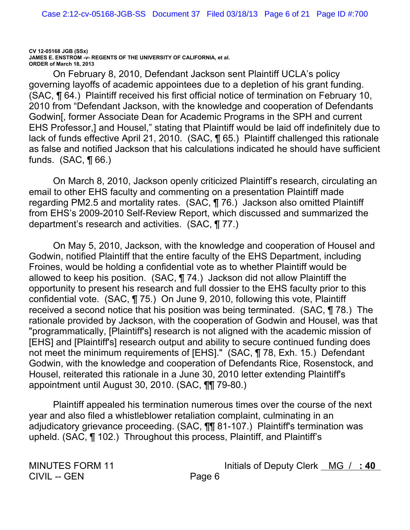On February 8, 2010, Defendant Jackson sent Plaintiff UCLA's policy governing layoffs of academic appointees due to a depletion of his grant funding. (SAC, ¶ 64.) Plaintiff received his first official notice of termination on February 10, 2010 from "Defendant Jackson, with the knowledge and cooperation of Defendants Godwin [, former Associate Dean for Academic Programs in the SPH and current EHS Professor,] and Housel," stating that Plaintiff would be laid off indefinitely due to lack of funds effective April 21, 2010. (SAC, ¶ 65.) Plaintiff challenged this rationale as false and notified Jackson that his calculations indicated he should have sufficient funds.  $(SAC, \P 66.)$ 

On March 8, 2010, Jackson openly criticized Plaintiff's research, circulating an email to other EHS faculty and commenting on a presentation Plaintiff made regarding PM2.5 and mortality rates. (SAC, 176.) Jackson also omitted Plaintiff from EHS's 2009-2010 Self-Review Report, which discussed and summarized the department's research and activities. (SAC, ¶77.)

On May 5, 2010, Jackson, with the knowledge and cooperation of Housel and Godwin, notified Plaintiff that the entire faculty of the EHS Department, including Froines, would be holding a confidential vote as to whether Plaintiff would be allowed to keep his position. (SAC,  $\P$  74.) Jackson did not allow Plaintiff the opportunity to present his research and full dossier to the EHS faculty prior to this confidential vote. (SAC, ¶75.) On June 9, 2010, following this vote, Plaintiff received a second notice that his position was being terminated. (SAC, 178.) The rationale provided by Jackson, with the cooperation of Godwin and Housel, was that "programmatically, [Plaintiff's] research is not aligned with the academic mission of [EHS] and [Plaintiff's] research output and ability to secure continued funding does not meet the minimum requirements of [EHS]." (SAC, ¶ 78, Exh. 15.) Defendant Godwin, with the knowledge and cooperation of Defendants Rice, Rosenstock, and Housel, reiterated this rationale in a June 30, 2010 letter extending Plaintiff's appointment until August 30, 2010. (SAC, TT 79-80.)

Plaintiff appealed his termination numerous times over the course of the next year and also filed a whistleblower retaliation complaint, culminating in an adjudicatory grievance proceeding. (SAC, TT 81-107.) Plaintiff's termination was upheld. (SAC, ¶ 102.) Throughout this process, Plaintiff, and Plaintiff's

**MINUTES FORM 11 CIVIL -- GEN**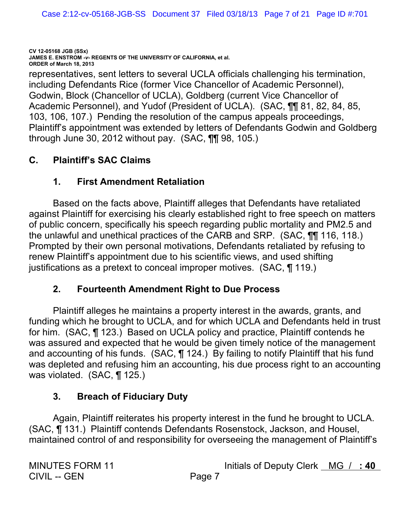representatives, sent letters to several UCLA officials challenging his termination, including Defendants Rice (former Vice Chancellor of Academic Personnel), Godwin, Block (Chancellor of UCLA), Goldberg (current Vice Chancellor of Academic Personnel), and Yudof (President of UCLA). (SAC, TT 81, 82, 84, 85, 103, 106, 107.) Pending the resolution of the campus appeals proceedings, Plaintiff's appointment was extended by letters of Defendants Godwin and Goldberg through June 30, 2012 without pay.  $(SAC, \P\P$  98, 105.)

#### $\mathbf{C}$ . **Plaintiff's SAC Claims**

#### $\mathbf{1}$ . **First Amendment Retaliation**

Based on the facts above. Plaintiff alleges that Defendants have retaliated against Plaintiff for exercising his clearly established right to free speech on matters of public concern, specifically his speech regarding public mortality and PM2.5 and the unlawful and unethical practices of the CARB and SRP. (SAC, TI 116, 118.) Prompted by their own personal motivations, Defendants retaliated by refusing to renew Plaintiff's appointment due to his scientific views, and used shifting justifications as a pretext to conceal improper motives. (SAC, ¶ 119.)

#### $2.$ **Fourteenth Amendment Right to Due Process**

Plaintiff alleges he maintains a property interest in the awards, grants, and funding which he brought to UCLA, and for which UCLA and Defendants held in trust for him. (SAC, ¶ 123.) Based on UCLA policy and practice, Plaintiff contends he was assured and expected that he would be given timely notice of the management and accounting of his funds. (SAC, ¶ 124.) By failing to notify Plaintiff that his fund was depleted and refusing him an accounting, his due process right to an accounting was violated. (SAC, ¶ 125.)

### **Breach of Fiduciary Duty** 3.

Again, Plaintiff reiterates his property interest in the fund he brought to UCLA. (SAC, ¶ 131.) Plaintiff contends Defendants Rosenstock, Jackson, and Housel, maintained control of and responsibility for overseeing the management of Plaintiff's

**MINUTES FORM 11 CIVIL -- GEN**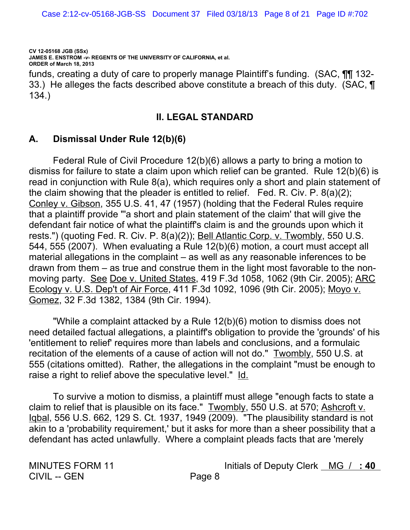funds, creating a duty of care to properly manage Plaintiff's funding. (SAC, **TIT** 132-33.) He alleges the facts described above constitute a breach of this duty. (SAC,  $\P$  $134.$ 

### **II. LEGAL STANDARD**

## **A. Dismissal Under Rule 12(b)(6)**

Federal Rule of Civil Procedure  $12(b)(6)$  allows a party to bring a motion to dismiss for failure to state a claim upon which relief can be granted. Rule  $12(b)(6)$  is read in conjunction with Rule 8(a), which requires only a short and plain statement of the claim showing that the pleader is entitled to relief. Fed. R. Civ. P.  $8(a)(2)$ ; Conley v. Gibson, 355 U.S. 41, 47 (1957) (holding that the Federal Rules require that a plaintiff provide "'a short and plain statement of the claim' that will give the defendant fair notice of what the plaintiff's claim is and the grounds upon which it rests.") (quoting Fed. R. Civ. P. 8(a)(2)); Bell Atlantic Corp. v. Twombly, 550 U.S. 544, 555 (2007). When evaluating a Rule 12(b)(6) motion, a court must accept all material allegations in the complaint  $-$  as well as any reasonable inferences to be drawn from them – as true and construe them in the light most favorable to the nonmoving party. See Doe v. United States, 419 F.3d 1058, 1062 (9th Cir. 2005); ARC <u>Ecology v. U.S. Dep't of Air Force</u>, 411 F.3d 1092, 1096 (9th Cir. 2005); Moyo v. Gomez, 32 F.3d 1382, 1384 (9th Cir. 1994).

"While a complaint attacked by a Rule 12(b)(6) motion to dismiss does not need detailed factual allegations, a plaintiff's obligation to provide the 'grounds' of his l<br>| entitlement to relief' requires more than labels and conclusions, and a formulaic recitation of the elements of a cause of action will not do." Twombly, 550 U.S. at 555 (citations omitted). Rather, the allegations in the complaint "must be enough to raise a right to relief above the speculative level." Id.

To survive a motion to dismiss, a plaintiff must allege "enough facts to state a claim to relief that is plausible on its face." Twombly, 550 U.S. at 570; Ashcroft v. lqbal, 556 U.S. 662, 129 S. Ct. 1937, 1949 (2009). "The plausibility standard is not akin to a 'probability requirement,' but it asks for more than a sheer possibility that a defendant has acted unlawfully. Where a complaint pleads facts that are 'merely

CIVIL -- GEN Page 8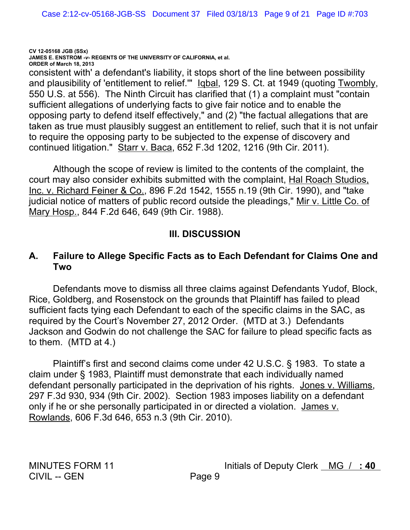consistent with' a defendant's liability, it stops short of the line between possibility and plausibility of 'entitlement to relief."" lgbal, 129 S. Ct. at 1949 (quoting Twombly, 550 U.S. at 556). The Ninth Circuit has clarified that (1) a complaint must "contain sufficient allegations of underlying facts to give fair notice and to enable the opposing party to defend itself effectively," and (2) "the factual allegations that are taken as true must plausibly suggest an entitlement to relief, such that it is not unfair to require the opposing party to be subjected to the expense of discovery and continued litigation." Starr v. Baca, 652 F.3d 1202, 1216 (9th Cir. 2011).

Although the scope of review is limited to the contents of the complaint, the court may also consider exhibits submitted with the complaint, Hal Roach Studios, Inc. v. Richard Feiner & Co., 896 F.2d 1542, 1555 n.19 (9th Cir. 1990), and "take judicial notice of matters of public record outside the pleadings," Mir v. Little Co. of Mary Hosp., 844 F.2d 646, 649 (9th Cir. 1988).

# **III. DISCUSSION**

# **A. Failure to Allege Specific Facts as to Each Defendant for Claims One and Two**

Defendants move to dismiss all three claims against Defendants Yudof, Block, Rice, Goldberg, and Rosenstock on the grounds that Plaintiff has failed to plead sufficient facts tying each Defendant to each of the specific claims in the SAC, as required by the Court's November 27, 2012 Order. (MTD at 3.) Defendants Jackson and Godwin do not challenge the SAC for failure to plead specific facts as to them.  $(MTD$  at 4.)

Plaintiff's first and second claims come under 42 U.S.C. § 1983. To state a claim under § 1983, Plaintiff must demonstrate that each individually named defendant personally participated in the deprivation of his rights. Jones v. Williams, 297 F.3d 930, 934 (9th Cir. 2002). Section 1983 imposes liability on a defendant only if he or she personally participated in or directed a violation. James v. Rowlands, 606 F.3d 646, 653 n.3 (9th Cir. 2010).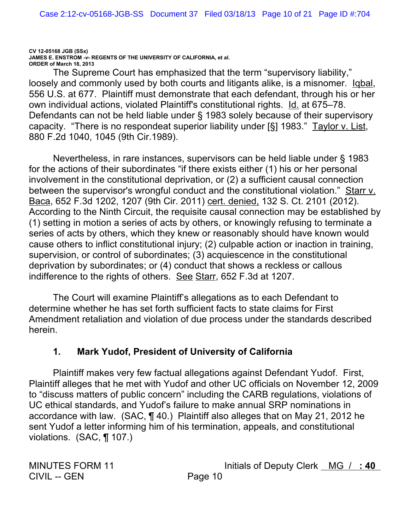The Supreme Court has emphasized that the term "supervisory liability," loosely and commonly used by both courts and litigants alike, is a misnomer. Iqbal, 556 U.S. at 677. Plaintiff must demonstrate that each defendant, through his or her own individual actions, violated Plaintiff's constitutional rights. Id. at 675–78. Defendants can not be held liable under § 1983 solely because of their supervisory capacity. "There is no respondeat superior liability under [§] 1983." Taylor v. List, 880 F.2d 1040, 1045 (9th Cir.1989).

Nevertheless, in rare instances, supervisors can be held liable under § 1983 for the actions of their subordinates "if there exists either (1) his or her personal involvement in the constitutional deprivation, or (2) a sufficient causal connection between the supervisor's wrongful conduct and the constitutional violation." Starr v. Baca, 652 F.3d 1202, 1207 (9th Cir. 2011) cert. denied, 132 S. Ct. 2101 (2012). According to the Ninth Circuit, the requisite causal connection may be established by (1) setting in motion a series of acts by others, or knowingly refusing to terminate a series of acts by others, which they knew or reasonably should have known would cause others to inflict constitutional injury; (2) culpable action or inaction in training, supervision, or control of subordinates; (3) acquiescence in the constitutional deprivation by subordinates; or (4) conduct that shows a reckless or callous indifference to the rights of others. See Starr, 652 F.3d at 1207.

The Court will examine Plaintiff's allegations as to each Defendant to determine whether he has set forth sufficient facts to state claims for First Amendment retaliation and violation of due process under the standards described herein.

# **1. Mark Yudof, President of University of California**

Plaintiff makes very few factual allegations against Defendant Yudof. First, Plaintiff alleges that he met with Yudof and other UC officials on November 12, 2009 to "discuss matters of public concern" including the CARB regulations, violations of UC ethical standards, and Yudof's failure to make annual SRP nominations in accordance with law. (SAC,  $\P$  40.) Plaintiff also alleges that on May 21, 2012 he sent Yudof a letter informing him of his termination, appeals, and constitutional violations.  $(SAC, \P 107.)$ 

CIVIL -- GEN Page 10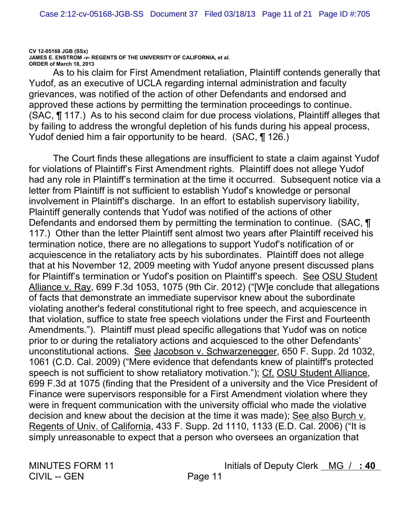As to his claim for First Amendment retaliation, Plaintiff contends generally that Yudof, as an executive of UCLA regarding internal administration and faculty grievances, was notified of the action of other Defendants and endorsed and approved these actions by permitting the termination proceedings to continue. (SAC, ¶ 117.) As to his second claim for due process violations, Plaintiff alleges that by failing to address the wrongful depletion of his funds during his appeal process, Yudof denied him a fair opportunity to be heard. (SAC, ¶ 126.)

The Court finds these allegations are insufficient to state a claim against Yudof for violations of Plaintiff's First Amendment rights. Plaintiff does not allege Yudof had any role in Plaintiff's termination at the time it occurred. Subsequent notice via a letter from Plaintiff is not sufficient to establish Yudof's knowledge or personal involvement in Plaintiff's discharge. In an effort to establish supervisory liability, Plaintiff generally contends that Yudof was notified of the actions of other Defendants and endorsed them by permitting the termination to continue. (SAC, ¶ 117.) Other than the letter Plaintiff sent almost two years after Plaintiff received his termination notice, there are no allegations to support Yudof's notification of or acquiescence in the retaliatory acts by his subordinates. Plaintiff does not allege that at his November 12, 2009 meeting with Yudof anyone present discussed plans for Plaintiff's termination or Yudof's position on Plaintiff's speech. See OSU Student Alliance v. Ray, 699 F.3d 1053, 1075 (9th Cir. 2012) ("[W]e conclude that allegations of facts that demonstrate an immediate supervisor knew about the subordinate violating another's federal constitutional right to free speech, and acquiescence in that violation, suffice to state free speech violations under the First and Fourteenth Amendments."). Plaintiff must plead specific allegations that Yudof was on notice prior to or during the retaliatory actions and acquiesced to the other Defendants' unconstitutional actions. See Jacobson v. Schwarzenegger, 650 F. Supp. 2d 1032, 1061 (C.D. Cal. 2009) ("Mere evidence that defendants knew of plaintiff's protected speech is not sufficient to show retaliatory motivation."); Cf. OSU Student Alliance, 699 F.3d at 1075 (finding that the President of a university and the Vice President of Finance were supervisors responsible for a First Amendment violation where they were in frequent communication with the university official who made the violative decision and knew about the decision at the time it was made); See also Burch v. Regents of Univ. of California, 433 F. Supp. 2d 1110, 1133 (E.D. Cal. 2006) ("It is simply unreasonable to expect that a person who oversees an organization that

**MINUTES FORM 11 CIVIL -- GEN**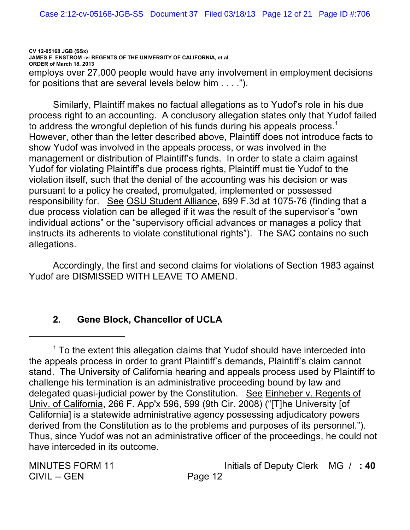**CV 12-05168 JGB (SSx) JAMES E. ENSTROM** *-v-* **REGENTS OF THE UNIVERSITY OF CALIFORNIA, et al. ORDER of March 18, 2013** employs over 27,000 people would have any involvement in employment decisions for positions that are several levels below him  $\dots$ .").

Similarly, Plaintiff makes no factual allegations as to Yudof's role in his due process right to an accounting. A conclusory allegation states only that Yudof failed to address the wrongful depletion of his funds during his appeals process.<sup>1</sup> However, other than the letter described above, Plaintiff does not introduce facts to show Yudof was involved in the appeals process, or was involved in the management or distribution of Plaintiff's funds. In order to state a claim against Yudof for violating Plaintiff's due process rights, Plaintiff must tie Yudof to the violation itself, such that the denial of the accounting was his decision or was pursuant to a policy he created, promulgated, implemented or possessed responsibility for. See OSU Student Alliance, 699 F.3d at 1075-76 (finding that a due process violation can be alleged if it was the result of the supervisor's "own individual actions" or the "supervisory official advances or manages a policy that instructs its adherents to violate constitutional rights"). The SAC contains no such allegations.

Accordingly, the first and second claims for violations of Section 1983 against Yudof are DISMISSED WITH LEAVE TO AMEND.

# **2. Gene Block, Chancellor of UCLA**

CIVIL -- GEN Page 12

 $1$  To the extent this allegation claims that Yudof should have interceded into the appeals process in order to grant Plaintiff's demands, Plaintiff's claim cannot stand. The University of California hearing and appeals process used by Plaintiff to challenge his termination is an administrative proceeding bound by law and delegated quasi-judicial power by the Constitution. See Einheber v. Regents of Univ. of California, 266 F. App'x 596, 599 (9th Cir. 2008) ("[T]he University [of California] is a statewide administrative agency possessing adjudicatory powers derived from the Constitution as to the problems and purposes of its personnel."). Thus, since Yudof was not an administrative officer of the proceedings, he could not have interceded in its outcome.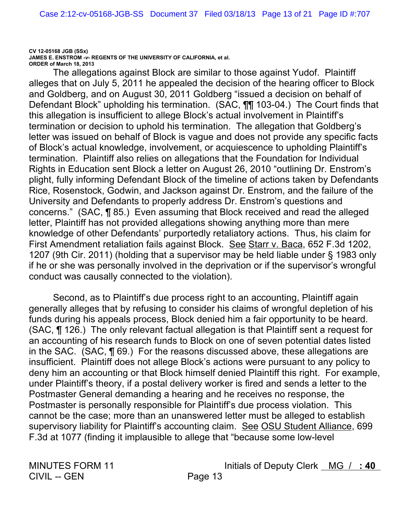The allegations against Block are similar to those against Yudof. Plaintiff alleges that on July 5, 2011 he appealed the decision of the hearing officer to Block and Goldberg, and on August 30, 2011 Goldberg "issued a decision on behalf of Defendant Block" upholding his termination. (SAC, TT 103-04.) The Court finds that this allegation is insufficient to allege Block's actual involvement in Plaintiff's termination or decision to uphold his termination. The allegation that Goldberg's letter was issued on behalf of Block is vague and does not provide any specific facts of Block's actual knowledge, involvement, or acquiescence to upholding Plaintiff's termination. Plaintiff also relies on allegations that the Foundation for Individual Rights in Education sent Block a letter on August 26, 2010 "outlining Dr. Enstrom's plight, fully informing Defendant Block of the timeline of actions taken by Defendants Rice, Rosenstock, Godwin, and Jackson against Dr. Enstrom, and the failure of the University and Defendants to properly address Dr. Enstrom's questions and concerns." (SAC, ¶ 85.) Even assuming that Block received and read the alleged letter, Plaintiff has not provided allegations showing anything more than mere knowledge of other Defendants' purportedly retaliatory actions. Thus, his claim for First Amendment retaliation fails against Block. See Starr v. Baca, 652 F.3d 1202, 1207 (9th Cir. 2011) (holding that a supervisor may be held liable under § 1983 only if he or she was personally involved in the deprivation or if the supervisor's wrongful conduct was causally connected to the violation).

Second, as to Plaintiff's due process right to an accounting, Plaintiff again generally alleges that by refusing to consider his claims of wrongful depletion of his funds during his appeals process, Block denied him a fair opportunity to be heard. (SAC, ¶ 126.) The only relevant factual allegation is that Plaintiff sent a request for an accounting of his research funds to Block on one of seven potential dates listed in the SAC.  $(SAC, \P \ 69.)$  For the reasons discussed above, these allegations are insufficient. Plaintiff does not allege Block's actions were pursuant to any policy to deny him an accounting or that Block himself denied Plaintiff this right. For example, under Plaintiff's theory, if a postal delivery worker is fired and sends a letter to the Postmaster General demanding a hearing and he receives no response, the Postmaster is personally responsible for Plaintiff's due process violation. This cannot be the case; more than an unanswered letter must be alleged to establish supervisory liability for Plaintiff's accounting claim. See OSU Student Alliance, 699 F.3d at 1077 (finding it implausible to allege that "because some low-level

**MINUTES FORM 11 CIVIL -- GEN**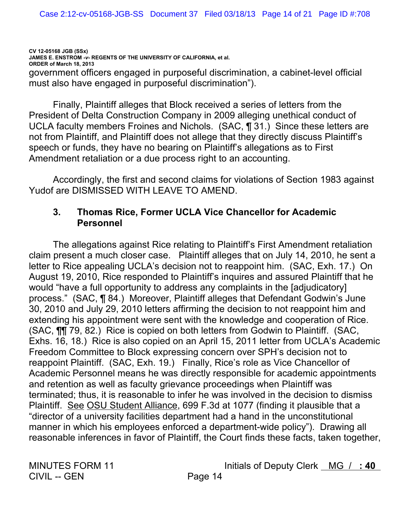CV 12-05168 JGB (SSx) JAMES E. ENSTROM - v- REGENTS OF THE UNIVERSITY OF CALIFORNIA, et al. ORDER of March 18, 2013 government officers engaged in purposeful discrimination, a cabinet-level official must also have engaged in purposeful discrimination").

Finally, Plaintiff alleges that Block received a series of letters from the President of Delta Construction Company in 2009 alleging unethical conduct of UCLA faculty members Froines and Nichols. (SAC, 131.) Since these letters are not from Plaintiff, and Plaintiff does not allege that they directly discuss Plaintiff's speech or funds, they have no bearing on Plaintiff's allegations as to First Amendment retaliation or a due process right to an accounting.

Accordingly, the first and second claims for violations of Section 1983 against Yudof are DISMISSED WITH LEAVE TO AMEND.

### Thomas Rice, Former UCLA Vice Chancellor for Academic  $3<sub>1</sub>$ **Personnel**

The allegations against Rice relating to Plaintiff's First Amendment retaliation claim present a much closer case. Plaintiff alleges that on July 14, 2010, he sent a letter to Rice appealing UCLA's decision not to reappoint him. (SAC, Exh. 17.) On August 19, 2010, Rice responded to Plaintiff's inquires and assured Plaintiff that he would "have a full opportunity to address any complaints in the [adjudicatory] process." (SAC, ¶ 84.) Moreover, Plaintiff alleges that Defendant Godwin's June 30, 2010 and July 29, 2010 letters affirming the decision to not reappoint him and extending his appointment were sent with the knowledge and cooperation of Rice. (SAC, TI 79, 82.) Rice is copied on both letters from Godwin to Plaintiff. (SAC, Exhs. 16, 18.) Rice is also copied on an April 15, 2011 letter from UCLA's Academic Freedom Committee to Block expressing concern over SPH's decision not to reappoint Plaintiff. (SAC, Exh. 19.) Finally, Rice's role as Vice Chancellor of Academic Personnel means he was directly responsible for academic appointments and retention as well as faculty grievance proceedings when Plaintiff was terminated: thus, it is reasonable to infer he was involved in the decision to dismiss Plaintiff. See OSU Student Alliance, 699 F.3d at 1077 (finding it plausible that a "director of a university facilities department had a hand in the unconstitutional manner in which his employees enforced a department-wide policy"). Drawing all reasonable inferences in favor of Plaintiff, the Court finds these facts, taken together,

**MINUTES FORM 11 CIVIL -- GEN**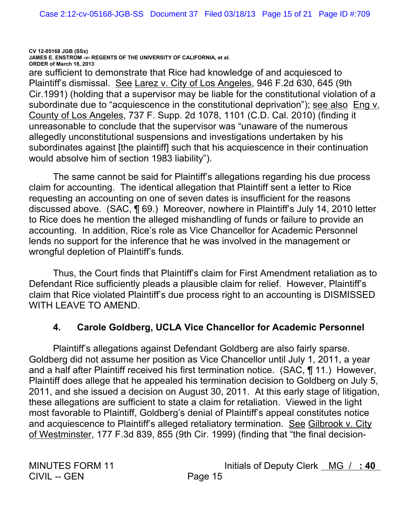CV 12-05168 JGB (SSx) JAMES E. ENSTROM - v- REGENTS OF THE UNIVERSITY OF CALIFORNIA, et al. ORDER of March 18, 2013 are sufficient to demonstrate that Rice had knowledge of and acquiesced to Plaintiff's dismissal. See Larez v. City of Los Angeles, 946 F.2d 630, 645 (9th Cir. 1991) (holding that a supervisor may be liable for the constitutional violation of a subordinate due to "acquiescence in the constitutional deprivation"); see also Eng v. County of Los Angeles, 737 F. Supp. 2d 1078, 1101 (C.D. Cal. 2010) (finding it unreasonable to conclude that the supervisor was "unaware of the numerous allegedly unconstitutional suspensions and investigations undertaken by his subordinates against [the plaintiff] such that his acquiescence in their continuation

would absolve him of section 1983 liability").

The same cannot be said for Plaintiff's allegations regarding his due process claim for accounting. The identical allegation that Plaintiff sent a letter to Rice requesting an accounting on one of seven dates is insufficient for the reasons discussed above. (SAC, ¶ 69.) Moreover, nowhere in Plaintiff's July 14, 2010 letter to Rice does he mention the alleged mishandling of funds or failure to provide an accounting. In addition, Rice's role as Vice Chancellor for Academic Personnel lends no support for the inference that he was involved in the management or wrongful depletion of Plaintiff's funds.

Thus, the Court finds that Plaintiff's claim for First Amendment retaliation as to Defendant Rice sufficiently pleads a plausible claim for relief. However, Plaintiff's claim that Rice violated Plaintiff's due process right to an accounting is DISMISSED WITH LEAVE TO AMEND.

#### **Carole Goldberg, UCLA Vice Chancellor for Academic Personnel**  $\mathbf 4$

Plaintiff's allegations against Defendant Goldberg are also fairly sparse. Goldberg did not assume her position as Vice Chancellor until July 1, 2011, a year and a half after Plaintiff received his first termination notice. (SAC, ¶ 11.) However, Plaintiff does allege that he appealed his termination decision to Goldberg on July 5, 2011, and she issued a decision on August 30, 2011. At this early stage of litigation, these allegations are sufficient to state a claim for retaliation. Viewed in the light most favorable to Plaintiff, Goldberg's denial of Plaintiff's appeal constitutes notice and acquiescence to Plaintiff's alleged retaliatory termination. See Gilbrook v. City of Westminster, 177 F.3d 839, 855 (9th Cir. 1999) (finding that "the final decision-

**MINUTES FORM 11 CIVIL -- GEN**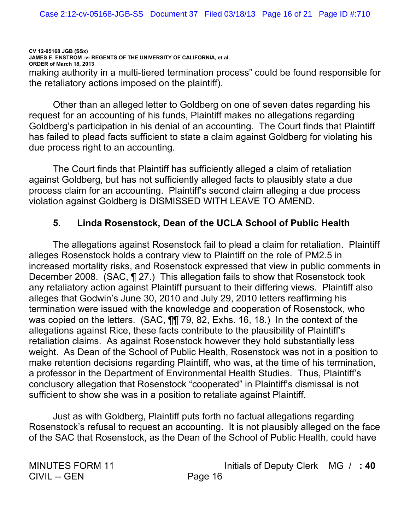**CV 12-05168 JGB (SSx) JAMES E. ENSTROM** *-v-* **REGENTS OF THE UNIVERSITY OF CALIFORNIA, et al. ORDER of March 18, 2013** making authority in a multi-tiered termination process" could be found responsible for the retaliatory actions imposed on the plaintiff).

Other than an alleged letter to Goldberg on one of seven dates regarding his request for an accounting of his funds, Plaintiff makes no allegations regarding Goldberg's participation in his denial of an accounting. The Court finds that Plaintiff has failed to plead facts sufficient to state a claim against Goldberg for violating his due process right to an accounting.

The Court finds that Plaintiff has sufficiently alleged a claim of retaliation against Goldberg, but has not sufficiently alleged facts to plausibly state a due process claim for an accounting. Plaintiff's second claim alleging a due process violation against Goldberg is DISMISSED WITH LEAVE TO AMEND.

## **5. Linda Rosenstock, Dean of the UCLA School of Public Health**

The allegations against Rosenstock fail to plead a claim for retaliation. Plaintiff alleges Rosenstock holds a contrary view to Plaintiff on the role of PM2.5 in increased mortality risks, and Rosenstock expressed that view in public comments in December 2008. (SAC, ¶ 27.) This allegation fails to show that Rosenstock took any retaliatory action against Plaintiff pursuant to their differing views. Plaintiff also alleges that Godwin's June 30, 2010 and July 29, 2010 letters reaffirming his termination were issued with the knowledge and cooperation of Rosenstock, who was copied on the letters. (SAC,  $\P\P$ , 79, 82, Exhs. 16, 18.) In the context of the allegations against Rice, these facts contribute to the plausibility of Plaintiff's retaliation claims. As against Rosenstock however they hold substantially less weight. As Dean of the School of Public Health, Rosenstock was not in a position to make retention decisions regarding Plaintiff, who was, at the time of his termination, a professor in the Department of Environmental Health Studies. Thus, Plaintiff's conclusory allegation that Rosenstock "cooperated" in Plaintiff's dismissal is not sufficient to show she was in a position to retaliate against Plaintiff.

Just as with Goldberg, Plaintiff puts forth no factual allegations regarding Rosenstock's refusal to request an accounting. It is not plausibly alleged on the face of the SAC that Rosenstock, as the Dean of the School of Public Health, could have

CIVIL -- GEN Page 16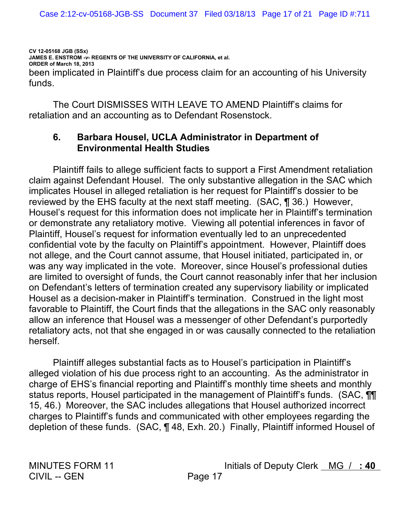CV 12-05168 JGB (SSx) JAMES E. ENSTROM - v- REGENTS OF THE UNIVERSITY OF CALIFORNIA, et al. ORDER of March 18, 2013 been implicated in Plaintiff's due process claim for an accounting of his University  $f$ unds

The Court DISMISSES WITH LEAVE TO AMEND Plaintiff's claims for retaliation and an accounting as to Defendant Rosenstock.

### Barbara Housel, UCLA Administrator in Department of 6. **Environmental Health Studies**

Plaintiff fails to allege sufficient facts to support a First Amendment retaliation claim against Defendant Housel. The only substantive allegation in the SAC which implicates Housel in alleged retaliation is her request for Plaintiff's dossier to be reviewed by the EHS faculty at the next staff meeting. (SAC, ¶ 36.) However, Housel's request for this information does not implicate her in Plaintiff's termination or demonstrate any retaliatory motive. Viewing all potential inferences in favor of Plaintiff, Housel's request for information eventually led to an unprecedented confidential vote by the faculty on Plaintiff's appointment. However, Plaintiff does not allege, and the Court cannot assume, that Housel initiated, participated in, or was any way implicated in the vote. Moreover, since Housel's professional duties are limited to oversight of funds, the Court cannot reasonably infer that her inclusion on Defendant's letters of termination created any supervisory liability or implicated Housel as a decision-maker in Plaintiff's termination. Construed in the light most favorable to Plaintiff, the Court finds that the allegations in the SAC only reasonably allow an inference that Housel was a messenger of other Defendant's purportedly retaliatory acts, not that she engaged in or was causally connected to the retaliation herself

Plaintiff alleges substantial facts as to Housel's participation in Plaintiff's alleged violation of his due process right to an accounting. As the administrator in charge of EHS's financial reporting and Plaintiff's monthly time sheets and monthly status reports, Housel participated in the management of Plaintiff's funds. (SAC,  $\P\P$ 15, 46.) Moreover, the SAC includes allegations that Housel authorized incorrect charges to Plaintiff's funds and communicated with other employees regarding the depletion of these funds. (SAC, 148, Exh. 20.) Finally, Plaintiff informed Housel of

**MINUTES FORM 11 CIVIL -- GEN**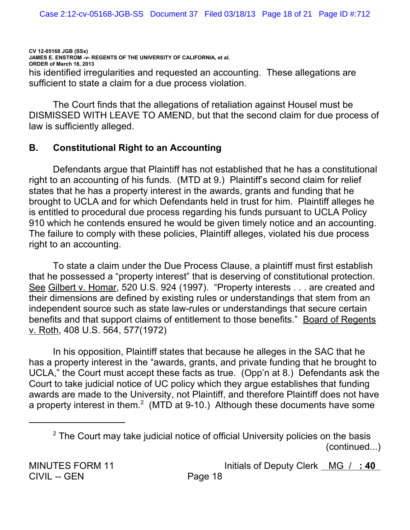CV 12-05168 JGB (SSx) JAMES E. ENSTROM - v- REGENTS OF THE UNIVERSITY OF CALIFORNIA, et al. ORDER of March 18, 2013 his identified irregularities and requested an accounting. These allegations are sufficient to state a claim for a due process violation.

The Court finds that the allegations of retaliation against Housel must be DISMISSED WITH LEAVE TO AMEND, but that the second claim for due process of law is sufficiently alleged.

#### **B. Constitutional Right to an Accounting**

Defendants argue that Plaintiff has not established that he has a constitutional right to an accounting of his funds. (MTD at 9.) Plaintiff's second claim for relief states that he has a property interest in the awards, grants and funding that he brought to UCLA and for which Defendants held in trust for him. Plaintiff alleges he is entitled to procedural due process regarding his funds pursuant to UCLA Policy 910 which he contends ensured he would be given timely notice and an accounting. The failure to comply with these policies, Plaintiff alleges, violated his due process right to an accounting.

To state a claim under the Due Process Clause, a plaintiff must first establish that he possessed a "property interest" that is deserving of constitutional protection. See Gilbert v. Homar, 520 U.S. 924 (1997). "Property interests . . . are created and their dimensions are defined by existing rules or understandings that stem from an independent source such as state law-rules or understandings that secure certain benefits and that support claims of entitlement to those benefits." Board of Regents v. Roth, 408 U.S. 564, 577(1972)

In his opposition, Plaintiff states that because he alleges in the SAC that he has a property interest in the "awards, grants, and private funding that he brought to UCLA," the Court must accept these facts as true. (Opp'n at 8.) Defendants ask the Court to take judicial notice of UC policy which they argue establishes that funding awards are made to the University, not Plaintiff, and therefore Plaintiff does not have a property interest in them.<sup>2</sup> (MTD at 9-10.) Although these documents have some

<sup>&</sup>lt;sup>2</sup> The Court may take judicial notice of official University policies on the basis  $(continued...)$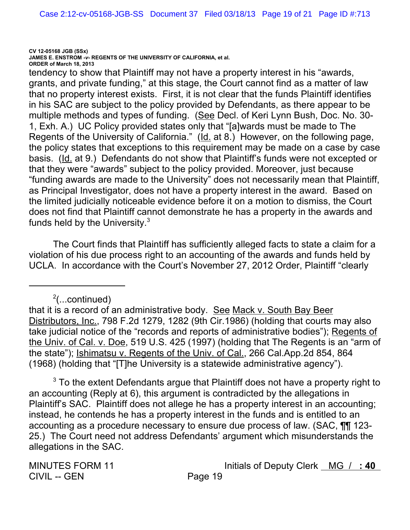**CV 12-05168 JGB (SSx)**

**JAMES E. ENSTROM** *-v-* **REGENTS OF THE UNIVERSITY OF CALIFORNIA, et al. ORDER of March 18, 2013**

tendency to show that Plaintiff may not have a property interest in his "awards, grants, and private funding," at this stage, the Court cannot find as a matter of law that no property interest exists. First, it is not clear that the funds Plaintiff identifies in his SAC are subject to the policy provided by Defendants, as there appear to be multiple methods and types of funding. (See Decl. of Keri Lynn Bush, Doc. No. 30-1, Exh. A.) UC Policy provided states only that "[a]wards must be made to The Regents of the University of California." (Id. at 8.) However, on the following page, the policy states that exceptions to this requirement may be made on a case by case basis. (Id. at 9.) Defendants do not show that Plaintiff's funds were not excepted or that they were "awards" subject to the policy provided. Moreover, just because "funding awards are made to the University" does not necessarily mean that Plaintiff, as Principal Investigator, does not have a property interest in the award. Based on the limited judicially noticeable evidence before it on a motion to dismiss, the Court does not find that Plaintiff cannot demonstrate he has a property in the awards and funds held by the University. $3$ 

The Court finds that Plaintiff has sufficiently alleged facts to state a claim for a violation of his due process right to an accounting of the awards and funds held by UCLA. In accordance with the Court's November 27, 2012 Order, Plaintiff "clearly

 $\lambda^2$ (...continued)

that it is a record of an administrative body. See Mack v. South Bay Beer Distributors, Inc., 798 F.2d 1279, 1282 (9th Cir.1986) (holding that courts may also take judicial notice of the "records and reports of administrative bodies"); Regents of the Univ. of Cal. v. Doe, 519 U.S. 425 (1997) (holding that The Regents is an "arm of the state"); Ishimatsu v. Regents of the Univ. of Cal., 266 Cal.App.2d 854, 864 (1968) (holding that "[T]he University is a statewide administrative agency").

 $^3$  To the extent Defendants argue that Plaintiff does not have a property right to an accounting (Reply at 6), this argument is contradicted by the allegations in Plaintiff's SAC. Plaintiff does not allege he has a property interest in an accounting; instead, he contends he has a property interest in the funds and is entitled to an accounting as a procedure necessary to ensure due process of law. (SAC, **11** 123-25.) The Court need not address Defendants' argument which misunderstands the allegations in the SAC.

CIVIL -- GEN Page 19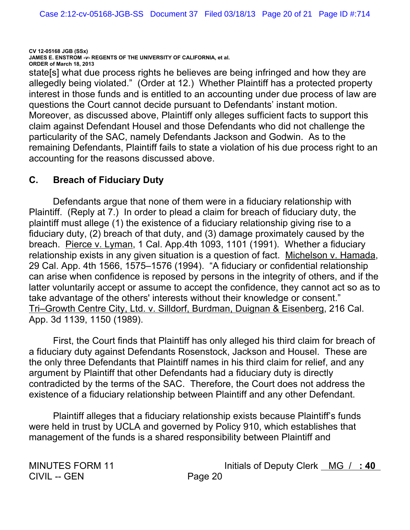**CV 12-05168 JGB (SSx) JAMES E. ENSTROM** *-v-* **REGENTS OF THE UNIVERSITY OF CALIFORNIA, et al. ORDER of March 18, 2013** state[s] what due process rights he believes are being infringed and how they are allegedly being violated." (Order at 12.) Whether Plaintiff has a protected property interest in those funds and is entitled to an accounting under due process of law are questions the Court cannot decide pursuant to Defendants' instant motion. Moreover, as discussed above, Plaintiff only alleges sufficient facts to support this claim against Defendant Housel and those Defendants who did not challenge the particularity of the SAC, namely Defendants Jackson and Godwin. As to the remaining Defendants, Plaintiff fails to state a violation of his due process right to an accounting for the reasons discussed above.

# **C. Breach of Fiduciary Duty**

Defendants argue that none of them were in a fiduciary relationship with Plaintiff. (Reply at 7.) In order to plead a claim for breach of fiduciary duty, the plaintiff must allege (1) the existence of a fiduciary relationship giving rise to a fiduciary duty,  $(2)$  breach of that duty, and  $(3)$  damage proximately caused by the breach. Pierce v. Lyman, 1 Cal. App.4th 1093, 1101 (1991). Whether a fiduciary relationship exists in any given situation is a question of fact. Michelson v. Hamada, 29 Cal. App. 4th 1566, 1575–1576 (1994). "A fiduciary or confidential relationship can arise when confidence is reposed by persons in the integrity of others, and if the latter voluntarily accept or assume to accept the confidence, they cannot act so as to take advantage of the others' interests without their knowledge or consent." Tri-Growth Centre City, Ltd. v. Silldorf, Burdman, Duignan & Eisenberg, 216 Cal. App. 3d 1139, 1150 (1989).

First, the Court finds that Plaintiff has only alleged his third claim for breach of a fiduciary duty against Defendants Rosenstock, Jackson and Housel. These are the only three Defendants that Plaintiff names in his third claim for relief, and any argument by Plaintiff that other Defendants had a fiduciary duty is directly contradicted by the terms of the SAC. Therefore, the Court does not address the existence of a fiduciary relationship between Plaintiff and any other Defendant.

Plaintiff alleges that a fiduciary relationship exists because Plaintiff's funds were held in trust by UCLA and governed by Policy 910, which establishes that management of the funds is a shared responsibility between Plaintiff and

CIVIL -- GEN Page 20